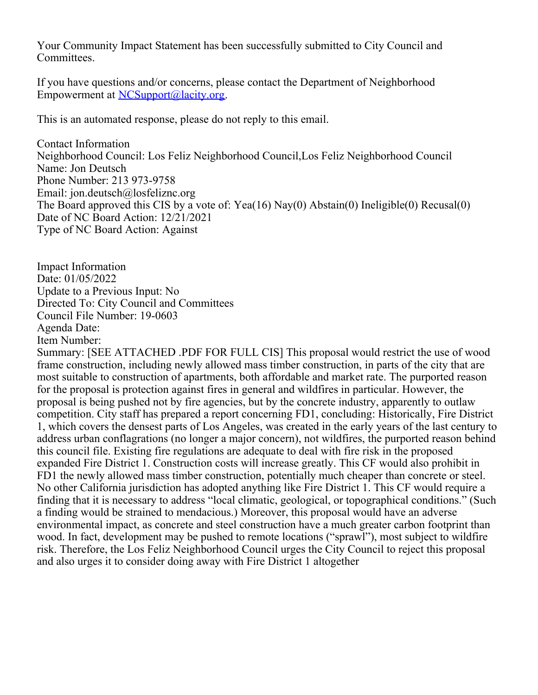Your Community Impact Statement has been successfully submitted to City Council and Committees.

If you have questions and/or concerns, please contact the Department of Neighborhood Empowerment at [NCSupport@lacity.org](mailto:NCSupport@lacity.org).

This is an automated response, please do not reply to this email.

Contact Information Neighborhood Council: Los Feliz Neighborhood Council,Los Feliz Neighborhood Council Name: Jon Deutsch Phone Number: 213 973-9758 Email: jon.deutsch@losfeliznc.org The Board approved this CIS by a vote of: Yea(16) Nay(0) Abstain(0) Ineligible(0) Recusal(0) Date of NC Board Action: 12/21/2021 Type of NC Board Action: Against

Impact Information Date: 01/05/2022 Update to a Previous Input: No Directed To: City Council and Committees Council File Number: 19-0603 Agenda Date: Item Number:

Summary: [SEE ATTACHED .PDF FOR FULL CIS] This proposal would restrict the use of wood frame construction, including newly allowed mass timber construction, in parts of the city that are most suitable to construction of apartments, both affordable and market rate. The purported reason for the proposal is protection against fires in general and wildfires in particular. However, the proposal is being pushed not by fire agencies, but by the concrete industry, apparently to outlaw competition. City staff has prepared a report concerning FD1, concluding: Historically, Fire District 1, which covers the densest parts of Los Angeles, was created in the early years of the last century to address urban conflagrations (no longer a major concern), not wildfires, the purported reason behind this council file. Existing fire regulations are adequate to deal with fire risk in the proposed expanded Fire District 1. Construction costs will increase greatly. This CF would also prohibit in FD1 the newly allowed mass timber construction, potentially much cheaper than concrete or steel. No other California jurisdiction has adopted anything like Fire District 1. This CF would require a finding that it is necessary to address "local climatic, geological, or topographical conditions." (Such a finding would be strained to mendacious.) Moreover, this proposal would have an adverse environmental impact, as concrete and steel construction have a much greater carbon footprint than wood. In fact, development may be pushed to remote locations ("sprawl"), most subject to wildfire risk. Therefore, the Los Feliz Neighborhood Council urges the City Council to reject this proposal and also urges it to consider doing away with Fire District 1 altogether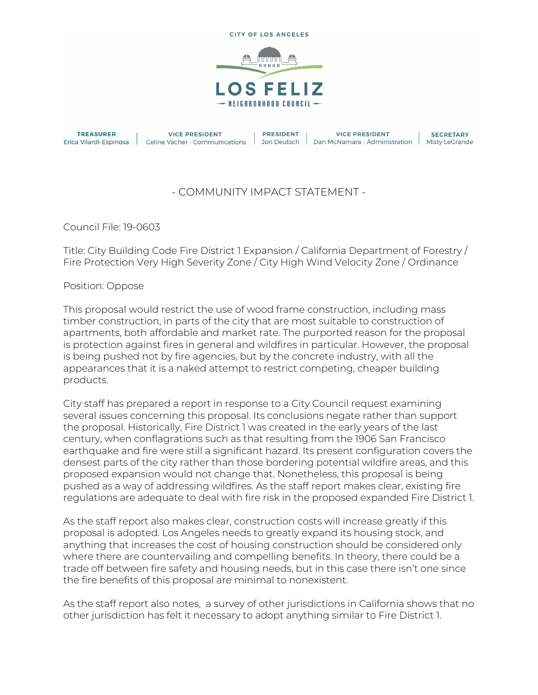

**TREASURER** Erica Vilardi-Espinosa |

**VICE PRESIDENT** Celine Vacher - Communications **PRESIDENT** 

**VICE PRESIDENT** | Jon Deutsch | Dan McNamara - Administration | Misty LeGrande

**SECRETARY** 

## - COMMUNITY IMPACT STATEMENT -

Council File: 19-0603

Title: City Building Code Fire District 1 Expansion / California Department of Forestry / Fire Protection Very High Severity Zone / City High Wind Velocity Zone / Ordinance

Position: Oppose

This proposal would restrict the use of wood frame construction, including mass timber construction, in parts of the city that are most suitable to construction of apartments, both affordable and market rate. The purported reason for the proposal is protection against fires in general and wildfires in particular. However, the proposal is being pushed not by fire agencies, but by the concrete industry, with all the appearances that it is a naked attempt to restrict competing, cheaper building products.

City staff has prepared a report in response to a City Council request examining several issues concerning this proposal. Its conclusions negate rather than support the proposal. Historically, Fire District 1 was created in the early years of the last century, when conflagrations such as that resulting from the 1906 San Francisco earthquake and fire were still a significant hazard. Its present configuration covers the densest parts of the city rather than those bordering potential wildfire areas, and this proposed expansion would not change that. Nonetheless, this proposal is being pushed as a way of addressing wildfires. As the staff report makes clear, existing fire regulations are adequate to deal with fire risk in the proposed expanded Fire District 1.

As the staff report also makes clear, construction costs will increase greatly if this proposal is adopted. Los Angeles needs to greatly expand its housing stock, and anything that increases the cost of housing construction should be considered only where there are countervailing and compelling benefits. In theory, there could be a trade off between fire safety and housing needs, but in this case there isn't one since the fire benefits of this proposal are minimal to nonexistent.

As the staff report also notes, a survey of other jurisdictions in California shows that no other jurisdiction has felt it necessary to adopt anything similar to Fire District 1.